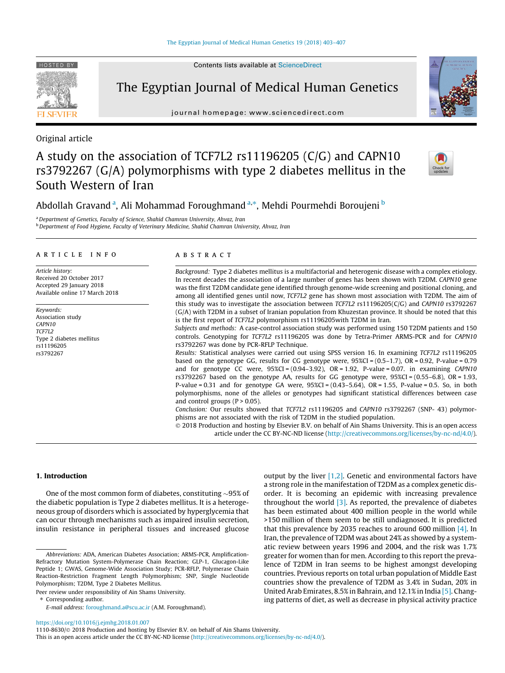Peer review under responsibility of Ain Shams University.

⇑ Corresponding author.

E-mail address: [foroughmand.a@scu.ac.ir](mailto:foroughmand.a@scu.ac.ir) (A.M. Foroughmand).

[The Egyptian Journal of Medical Human Genetics 19 \(2018\) 403–407](https://doi.org/10.1016/j.ejmhg.2018.01.007)

Contents lists available at [ScienceDirect](http://www.sciencedirect.com/science/journal/11108630)

# The Egyptian Journal of Medical Human Genetics

journal homepage: [www.sciencedirect.com](http://www.sciencedirect.com)

Original article

# A study on the association of TCF7L2 rs11196205 (C/G) and CAPN10 rs3792267 (G/A) polymorphisms with type 2 diabetes mellitus in the South Western of Iran

# Abdollah Gravanda, Ali Mohammad Foroughmanda,\*, Mehdi Pourmehdi Boroujeni <sup>b</sup>

<sup>a</sup> Department of Genetics, Faculty of Science, Shahid Chamran University, Ahvaz, Iran <sup>b</sup> Department of Food Hygiene, Faculty of Veterinary Medicine, Shahid Chamran University, Ahvaz, Iran

# article info

Article history: Received 20 October 2017 Accepted 29 January 2018 Available online 17 March 2018

Keywords: Association study CAPN10 TCF7L2 Type 2 diabetes mellitus rs11196205 rs3792267

# **ABSTRACT**

Background: Type 2 diabetes mellitus is a multifactorial and heterogenic disease with a complex etiology. In recent decades the association of a large number of genes has been shown with T2DM. CAPN10 gene was the first T2DM candidate gene identified through genome-wide screening and positional cloning, and among all identified genes until now, TCF7L2 gene has shown most association with T2DM. The aim of this study was to investigate the association between TCF7L2 rs11196205(C/G) and CAPN10 rs3792267 (G/A) with T2DM in a subset of Iranian population from Khuzestan province. It should be noted that this is the first report of TCF7L2 polymorphism rs11196205with T2DM in Iran.

Subjects and methods: A case-control association study was performed using 150 T2DM patients and 150 controls. Genotyping for TCF7L2 rs11196205 was done by Tetra-Primer ARMS-PCR and for CAPN10 rs3792267 was done by PCR-RFLP Technique.

Results: Statistical analyses were carried out using SPSS version 16. In examining TCF7L2 rs11196205 based on the genotype GG, results for CG genotype were,  $95\%$ CI = (0.5–1.7), OR = 0.92, P-value = 0.79 and for genotype CC were,  $95\%CI = (0.94-3.92)$ ,  $OR = 1.92$ , P-value = 0.07. in examining CAPN10 rs3792267 based on the genotype AA, results for GG genotype were, 95%CI = (0.55–6.8), OR = 1.93, P-value = 0.31 and for genotype GA were,  $95\%CI = (0.43 - 5.64)$ ,  $OR = 1.55$ , P-value = 0.5. So, in both polymorphisms, none of the alleles or genotypes had significant statistical differences between case and control groups ( $P > 0.05$ ).

Conclusion: Our results showed that TCF7L2 rs11196205 and CAPN10 rs3792267 (SNP- 43) polymorphisms are not associated with the risk of T2DM in the studied population.

 2018 Production and hosting by Elsevier B.V. on behalf of Ain Shams University. This is an open access article under the CC BY-NC-ND license (<http://creativecommons.org/licenses/by-nc-nd/4.0/>).

# 1. Introduction

One of the most common form of diabetes, constituting  $\sim$ 95% of the diabetic population is Type 2 diabetes mellitus. It is a heterogeneous group of disorders which is associated by hyperglycemia that can occur through mechanisms such as impaired insulin secretion, insulin resistance in peripheral tissues and increased glucose

output by the liver  $[1,2]$ . Genetic and environmental factors have a strong role in the manifestation of T2DM as a complex genetic disorder. It is becoming an epidemic with increasing prevalence throughout the world  $\left[3\right]$ . As reported, the prevalence of diabetes has been estimated about 400 million people in the world while >150 million of them seem to be still undiagnosed. It is predicted that this prevalence by 2035 reaches to around 600 million [\[4\]](#page-4-0). In Iran, the prevalence of T2DM was about 24% as showed by a systematic review between years 1996 and 2004, and the risk was 1.7% greater for women than for men. According to this report the prevalence of T2DM in Iran seems to be highest amongst developing countries. Previous reports on total urban population of Middle East countries show the prevalence of T2DM as 3.4% in Sudan, 20% in United Arab Emirates, 8.5% in Bahrain, and 12.1% in India [\[5\]](#page-4-0). Changing patterns of diet, as well as decrease in physical activity practice









Abbreviations: ADA, American Diabetes Association; ARMS-PCR, Amplification-Refractory Mutation System-Polymerase Chain Reaction; GLP-1, Glucagon-Like Peptide 1; GWAS, Genome-Wide Association Study; PCR-RFLP, Polymerase Chain Reaction-Restriction Fragment Length Polymorphism; SNP, Single Nucleotide Polymorphism; T2DM, Type 2 Diabetes Mellitus.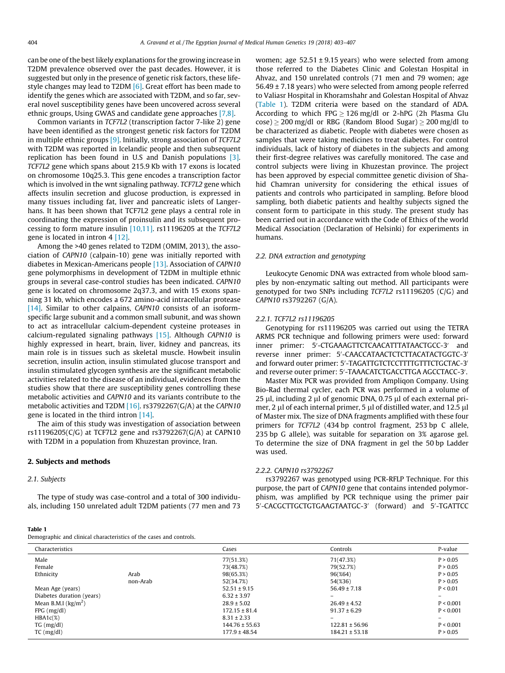<span id="page-1-0"></span>can be one of the best likely explanations for the growing increase in T2DM prevalence observed over the past decades. However, it is suggested but only in the presence of genetic risk factors, these lifestyle changes may lead to T2DM [\[6\].](#page-4-0) Great effort has been made to identify the genes which are associated with T2DM, and so far, several novel susceptibility genes have been uncovered across several ethnic groups, Using GWAS and candidate gene approaches [\[7,8\].](#page-4-0)

Common variants in TCF7L2 (transcription factor 7-like 2) gene have been identified as the strongest genetic risk factors for T2DM in multiple ethnic groups [\[9\].](#page-4-0) Initially, strong association of TCF7L2 with T2DM was reported in Icelandic people and then subsequent replication has been found in U.S and Danish populations [\[3\].](#page-4-0) TCF7L2 gene which spans about 215.9 Kb with 17 exons is located on chromosome 10q25.3. This gene encodes a transcription factor which is involved in the wnt signaling pathway. TCF7L2 gene which affects insulin secretion and glucose production, is expressed in many tissues including fat, liver and pancreatic islets of Langerhans. It has been shown that TCF7L2 gene plays a central role in coordinating the expression of proinsulin and its subsequent processing to form mature insulin [\[10,11\]](#page-4-0). rs11196205 at the TCF7L2 gene is located in intron 4 [\[12\].](#page-4-0)

Among the >40 genes related to T2DM (OMIM, 2013), the association of CAPN10 (calpain-10) gene was initially reported with diabetes in Mexican-Americans people [\[13\]](#page-4-0). Association of CAPN10 gene polymorphisms in development of T2DM in multiple ethnic groups in several case-control studies has been indicated. CAPN10 gene is located on chromosome 2q37.3, and with 15 exons spanning 31 kb, which encodes a 672 amino-acid intracellular protease [\[14\]](#page-4-0). Similar to other calpains, CAPN10 consists of an isoformspecific large subunit and a common small subunit, and was shown to act as intracellular calcium-dependent cysteine proteases in calcium-regulated signaling pathways [\[15\].](#page-4-0) Although CAPN10 is highly expressed in heart, brain, liver, kidney and pancreas, its main role is in tissues such as skeletal muscle. Howbeit insulin secretion, insulin action, insulin stimulated glucose transport and insulin stimulated glycogen synthesis are the significant metabolic activities related to the disease of an individual, evidences from the studies show that there are susceptibility genes controlling these metabolic activities and CAPN10 and its variants contribute to the metabolic activities and T2DM  $[16]$ . rs3792267(G/A) at the CAPN10 gene is located in the third intron [\[14\].](#page-4-0)

The aim of this study was investigation of association between rs11196205(C/G) at TCF7L2 gene and rs3792267(G/A) at CAPN10 with T2DM in a population from Khuzestan province, Iran.

## 2. Subjects and methods

#### 2.1. Subjects

The type of study was case-control and a total of 300 individuals, including 150 unrelated adult T2DM patients (77 men and 73 women; age  $52.51 \pm 9.15$  years) who were selected from among those referred to the Diabetes Clinic and Golestan Hospital in Ahvaz, and 150 unrelated controls (71 men and 79 women; age 56.49 ± 7.18 years) who were selected from among people referred to Valiasr Hospital in Khoramshahr and Golestan Hospital of Ahvaz (Table 1). T2DM criteria were based on the standard of ADA. According to which FPG  $\geq$  126 mg/dl or 2-hPG (2h Plasma Glu  $\cos\theta$   $\ge$  200 mg/dl or RBG (Random Blood Sugar)  $\ge$  200 mg/dl to be characterized as diabetic. People with diabetes were chosen as samples that were taking medicines to treat diabetes. For control individuals, lack of history of diabetes in the subjects and among their first-degree relatives was carefully monitored. The case and control subjects were living in Khuzestan province. The project has been approved by especial committee genetic division of Shahid Chamran university for considering the ethical issues of patients and controls who participated in sampling. Before blood sampling, both diabetic patients and healthy subjects signed the consent form to participate in this study. The present study has been carried out in accordance with the Code of Ethics of the world Medical Association (Declaration of Helsinki) for experiments in humans.

## 2.2. DNA extraction and genotyping

Leukocyte Genomic DNA was extracted from whole blood samples by non-enzymatic salting out method. All participants were genotyped for two SNPs including TCF7L2 rs11196205 (C/G) and CAPN10 rs3792267 (G/A).

## 2.2.1. TCF7L2 rs11196205

Genotyping for rs11196205 was carried out using the TETRA ARMS PCR technique and following primers were used: forward inner primer: 5'-CTGAAAGTTCTCAACATTTATAACTGCC-3' and reverse inner primer: 5'-CAACCATAACTCTCTTACATACTGGTC-3<sup>1</sup> and forward outer primer: 5'-TAGATTGTCTCCTTTTGTTTCTGCTAC-3<sup>1</sup> and reverse outer primer: 5'-TAAACATCTGACCTTGA AGCCTACC-3'.

Master Mix PCR was provided from Ampliqon Company. Using Bio-Rad thermal cycler, each PCR was performed in a volume of 25  $\mu$ l, including 2  $\mu$ l of genomic DNA, 0.75  $\mu$ l of each external primer, 2  $\mu$ l of each internal primer, 5  $\mu$ l of distilled water, and 12.5  $\mu$ l of Master mix. The size of DNA fragments amplified with these four primers for TCF7L2 (434 bp control fragment, 253 bp C allele, 235 bp G allele), was suitable for separation on 3% agarose gel. To determine the size of DNA fragment in gel the 50 bp Ladder was used.

#### 2.2.2. CAPN10 rs3792267

rs3792267 was genotyped using PCR-RFLP Technique. For this purpose, the part of CAPN10 gene that contains intended polymorphism, was amplified by PCR technique using the primer pair 5'-CACGCTTGCTGTGAAGTAATGC-3' (forward) and 5'-TGATTCC

| ٠<br>× |  |
|--------|--|
|--------|--|

Demographic and clinical characteristics of the cases and controls.

| Characteristics           |          | Cases              | Controls           | P-value   |
|---------------------------|----------|--------------------|--------------------|-----------|
| Male                      |          | 77(51.3%)          | 71(47.3%)          | P > 0.05  |
| Female                    |          | 73(48.7%)          | 79(52.7%)          | P > 0.05  |
| Ethnicity                 | Arab     | 98(65.3%)          | 96(%64)            | P > 0.05  |
|                           | non-Arab | 52(34.7%)          | 54(%36)            | P > 0.05  |
| Mean Age (years)          |          | $52.51 \pm 9.15$   | $56.49 \pm 7.18$   | P < 0.01  |
| Diabetes duration (years) |          | $6.32 \pm 3.97$    | $-$                |           |
| Mean B.M.I $(kg/m2)$      |          | $28.9 \pm 5.02$    | $26.49 \pm 4.52$   | P < 0.001 |
| $FPG$ (mg/dl)             |          | $172.15 \pm 81.4$  | $91.37 \pm 6.29$   | P < 0.001 |
| $HBA1c(\%)$               |          | $8.31 \pm 2.33$    | -                  |           |
| TG (mg/dl)                |          | $144.76 \pm 55.63$ | $122.81 \pm 56.96$ | P < 0.001 |
| $TC$ (mg/dl)              |          | $177.9 \pm 48.54$  | $184.21 \pm 53.18$ | P > 0.05  |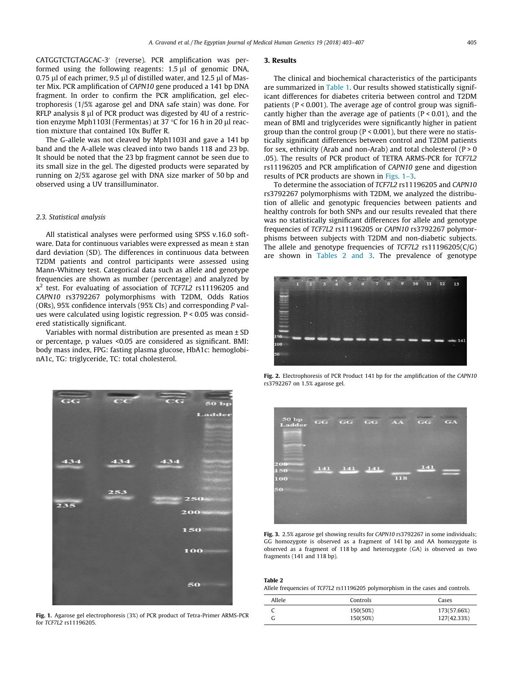CATGGTCTGTAGCAC-3' (reverse). PCR amplification was performed using the following reagents: 1.5 *ul* of genomic DNA, 0.75 ul of each primer, 9.5 ul of distilled water, and 12.5 ul of Master Mix. PCR amplification of CAPN10 gene produced a 141 bp DNA fragment. In order to confirm the PCR amplification, gel electrophoresis (1/5% agarose gel and DNA safe stain) was done. For RFLP analysis 8  $\mu$ l of PCR product was digested by 4U of a restriction enzyme Mph1103I (Fermentas) at 37  $\degree$ C for 16 h in 20 µl reaction mixture that contained 10x Buffer R.

The G-allele was not cleaved by Mph1103I and gave a 141 bp band and the A-allele was cleaved into two bands 118 and 23 bp. It should be noted that the 23 bp fragment cannot be seen due to its small size in the gel. The digested products were separated by running on 2/5% agarose gel with DNA size marker of 50 bp and observed using a UV transilluminator.

#### 2.3. Statistical analysis

All statistical analyses were performed using SPSS v.16.0 software. Data for continuous variables were expressed as mean ± stan dard deviation (SD). The differences in continuous data between T2DM patients and control participants were assessed using Mann-Whitney test. Categorical data such as allele and genotype frequencies are shown as number (percentage) and analyzed by  $x<sup>2</sup>$  test. For evaluating of association of TCF7L2 rs11196205 and CAPN10 rs3792267 polymorphisms with T2DM, Odds Ratios (ORs), 95% confidence intervals (95% CIs) and corresponding P values were calculated using logistic regression. P < 0.05 was considered statistically significant.

Variables with normal distribution are presented as mean ± SD or percentage, p values <0.05 are considered as significant. BMI: body mass index, FPG: fasting plasma glucose, HbA1c: hemoglobinA1c, TG: triglyceride, TC: total cholesterol.



Fig. 1. Agarose gel electrophoresis (3%) of PCR product of Tetra-Primer ARMS-PCR for TCF7L2 rs11196205.

# 3. Results

The clinical and biochemical characteristics of the participants are summarized in [Table 1](#page-1-0). Our results showed statistically significant differences for diabetes criteria between control and T2DM patients ( $P < 0.001$ ). The average age of control group was significantly higher than the average age of patients ( $P < 0.01$ ), and the mean of BMI and triglycerides were significantly higher in patient group than the control group ( $P < 0.001$ ), but there were no statistically significant differences between control and T2DM patients for sex, ethnicity (Arab and non-Arab) and total cholesterol ( $P > 0$ .05). The results of PCR product of TETRA ARMS-PCR for TCF7L2 rs11196205 and PCR amplification of CAPN10 gene and digestion results of PCR products are shown in Figs. 1–3.

To determine the association of TCF7L2 rs11196205 and CAPN10 rs3792267 polymorphisms with T2DM, we analyzed the distribution of allelic and genotypic frequencies between patients and healthy controls for both SNPs and our results revealed that there was no statistically significant differences for allele and genotype frequencies of TCF7L2 rs11196205 or CAPN10 rs3792267 polymorphisms between subjects with T2DM and non-diabetic subjects. The allele and genotype frequencies of TCF7L2 rs11196205(C/G) are shown in Tables 2 and 3. The prevalence of genotype



Fig. 2. Electrophoresis of PCR Product 141 bp for the amplification of the CAPN10 rs3792267 on 1.5% agarose gel.



Fig. 3. 2.5% agarose gel showing results for CAPN10 rs3792267 in some individuals; GG homozygote is observed as a fragment of 141 bp and AA homozygote is observed as a fragment of 118 bp and heterozygote (GA) is observed as two fragments (141 and 118 bp).

| Table 2 |                                  |  |
|---------|----------------------------------|--|
|         | Allalo froquencies of TCE712 rs1 |  |

Allele frequencies of TCF7L2 rs11196205 polymorphism in the cases and controls.

| Allele | Controls | Cases       |
|--------|----------|-------------|
|        | 150(50%) | 173(57.66%) |
|        | 150(50%) | 127(42.33%) |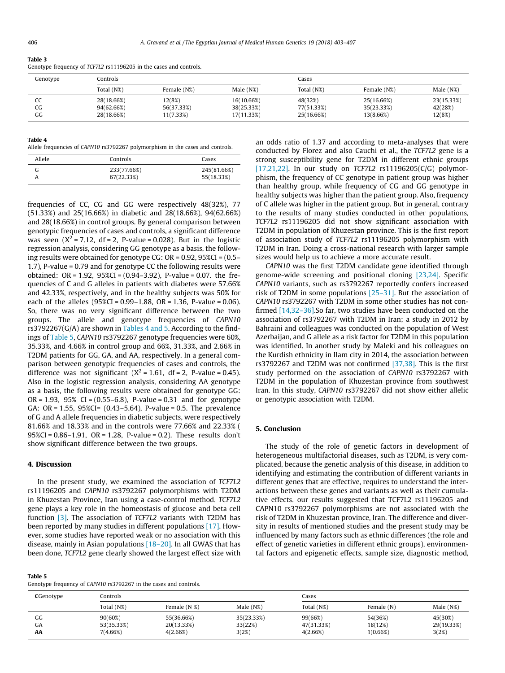|--|

| Genotype frequency of TCF7L2 rs11196205 in the cases and controls. |  |  |  |  |  |
|--------------------------------------------------------------------|--|--|--|--|--|
|                                                                    |  |  |  |  |  |

| Genotype | Controls   |             |              | Cases      |             |              |
|----------|------------|-------------|--------------|------------|-------------|--------------|
|          | Total (N%) | Female (N%) | Male $(N\%)$ | Total (N%) | Female (N%) | Male $(N\%)$ |
| CC       | 28(18.66%) | 12(8%)      | 16(10.66%)   | 48(32%)    | 25(16.66%)  | 23(15.33%)   |
| CG       | 94(62.66%) | 56(37.33%)  | 38(25.33%)   | 77(51.33%) | 35(23.33%)  | 42(28%)      |
| GG       | 28(18.66%) | 11(7.33%)   | 17(11.33%)   | 25(16.66%) | 13(8.66%)   | 12(8%)       |

#### Table 4

Allele frequencies of CAPN10 rs3792267 polymorphism in the cases and controls.

| Allele | Controls                  | Cases                     |
|--------|---------------------------|---------------------------|
|        | 233(77.66%)<br>67(22.33%) | 245(81.66%)<br>55(18.33%) |

frequencies of CC, CG and GG were respectively 48(32%), 77 (51.33%) and 25(16.66%) in diabetic and 28(18.66%), 94(62.66%) and 28(18.66%) in control groups. By general comparison between genotypic frequencies of cases and controls, a significant difference was seen  $(X^2 = 7.12, df = 2, P-value = 0.028)$ . But in the logistic regression analysis, considering GG genotype as a basis, the following results were obtained for genotype CG: OR = 0.92, 95%CI = (0.5– 1.7), P-value = 0.79 and for genotype CC the following results were obtained: OR = 1.92, 95%CI = (0.94–3.92), P-value = 0.07. the frequencies of C and G alleles in patients with diabetes were 57.66% and 42.33%, respectively, and in the healthy subjects was 50% for each of the alleles  $(95\%CI = 0.99 - 1.88, OR = 1.36, P-value = 0.06)$ . So, there was no very significant difference between the two groups. The allele and genotype frequencies of CAPN10 rs3792267(G/A) are shown in Tables 4 and 5. According to the findings of Table 5, CAPN10 rs3792267 genotype frequencies were 60%, 35.33%, and 4.66% in control group and 66%, 31.33%, and 2.66% in T2DM patients for GG, GA, and AA, respectively. In a general comparison between genotypic frequencies of cases and controls, the difference was not significant  $(X^2 = 1.61, df = 2, P-value = 0.45)$ . Also in the logistic regression analysis, considering AA genotype as a basis, the following results were obtained for genotype GG: OR =  $1.93$ ,  $95\%$  CI =  $(0.55-6.8)$ , P-value =  $0.31$  and for genotype GA: OR = 1.55, 95%CI= (0.43–5.64), P-value = 0.5. The prevalence of G and A allele frequencies in diabetic subjects, were respectively 81.66% and 18.33% and in the controls were 77.66% and 22.33% ( 95%CI = 0.86–1.91, OR = 1.28, P-value = 0.2). These results don't show significant difference between the two groups.

## 4. Discussion

In the present study, we examined the association of TCF7L2 rs11196205 and CAPN10 rs3792267 polymorphisms with T2DM in Khuzestan Province, Iran using a case-control method. TCF7L2 gene plays a key role in the homeostasis of glucose and beta cell function [\[3\].](#page-4-0) The association of TCF7L2 variants with T2DM has been reported by many studies in different populations [\[17\].](#page-4-0) However, some studies have reported weak or no association with this disease, mainly in Asian populations [\[18–20\].](#page-4-0) In all GWAS that has been done, TCF7L2 gene clearly showed the largest effect size with

| Table 5                                                           |
|-------------------------------------------------------------------|
| Genotype frequency of CAPN10 rs3792267 in the cases and controls. |

an odds ratio of 1.37 and according to meta-analyses that were conducted by Florez and also Cauchi et al., the TCF7L2 gene is a strong susceptibility gene for T2DM in different ethnic groups [\[17,21,22\].](#page-4-0) In our study on TCF7L2 rs11196205(C/G) polymorphism, the frequency of CC genotype in patient group was higher than healthy group, while frequency of CG and GG genotype in healthy subjects was higher than the patient group. Also, frequency of C allele was higher in the patient group. But in general, contrary to the results of many studies conducted in other populations, TCF7L2 rs11196205 did not show significant association with T2DM in population of Khuzestan province. This is the first report of association study of TCF7L2 rs11196205 polymorphism with T2DM in Iran. Doing a cross-national research with larger sample sizes would help us to achieve a more accurate result.

CAPN10 was the first T2DM candidate gene identified through genome-wide screening and positional cloning [\[23,24\].](#page-4-0) Specific CAPN10 variants, such as rs3792267 reportedly confers increased risk of T2DM in some populations  $[25-31]$ . But the association of CAPN10 rs3792267 with T2DM in some other studies has not confirmed [\[14,32–36\].](#page-4-0)So far, two studies have been conducted on the association of rs3792267 with T2DM in Iran; a study in 2012 by Bahraini and colleagues was conducted on the population of West Azerbaijan, and G allele as a risk factor for T2DM in this population was identified. In another study by Maleki and his colleagues on the Kurdish ethnicity in Ilam city in 2014, the association between rs3792267 and T2DM was not confirmed [\[37,38\].](#page-4-0) This is the first study performed on the association of CAPN10 rs3792267 with T2DM in the population of Khuzestan province from southwest Iran. In this study, CAPN10 rs3792267 did not show either allelic or genotypic association with T2DM.

# 5. Conclusion

The study of the role of genetic factors in development of heterogeneous multifactorial diseases, such as T2DM, is very complicated, because the genetic analysis of this disease, in addition to identifying and estimating the contribution of different variants in different genes that are effective, requires to understand the interactions between these genes and variants as well as their cumulative effects. our results suggested that TCF7L2 rs11196205 and CAPN10 rs3792267 polymorphisms are not associated with the risk of T2DM in Khuzestan province, Iran. The difference and diversity in results of mentioned studies and the present study may be influenced by many factors such as ethnic differences (the role and effect of genetic varieties in different ethnic groups), environmental factors and epigenetic effects, sample size, diagnostic method,

| <b>CGenotype</b> | Controls   |                 |            | Cases      |            |            |  |
|------------------|------------|-----------------|------------|------------|------------|------------|--|
|                  | Total (N%) | Female $(N \%)$ | Male (N%)  | Total (N%) | Female (N) | Male (N%)  |  |
| GG               | 90(60%)    | 55(36.66%)      | 35(23.33%) | 99(66%)    | 54(36%)    | 45(30%)    |  |
| GA               | 53(35.33%) | 20(13.33%)      | 33(22%)    | 47(31.33%) | 18(12%)    | 29(19.33%) |  |
| AA               | 7(4.66%)   | 4(2.66%)        | 3(2%)      | 4(2.66%)   | 1(0.66%)   | 3(2%)      |  |